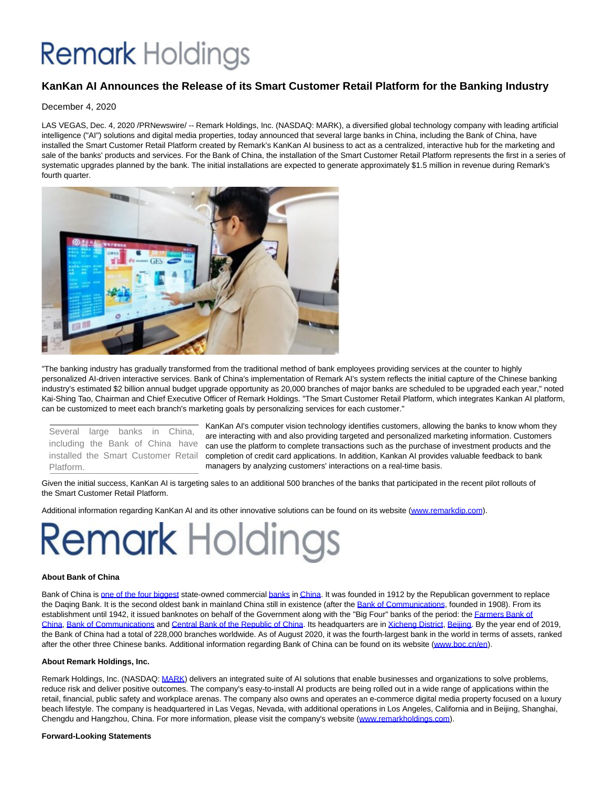## **Remark** Holdings

### **KanKan AI Announces the Release of its Smart Customer Retail Platform for the Banking Industry**

December 4, 2020

LAS VEGAS, Dec. 4, 2020 /PRNewswire/ -- Remark Holdings, Inc. (NASDAQ: MARK), a diversified global technology company with leading artificial intelligence ("AI") solutions and digital media properties, today announced that several large banks in China, including the Bank of China, have installed the Smart Customer Retail Platform created by Remark's KanKan AI business to act as a centralized, interactive hub for the marketing and sale of the banks' products and services. For the Bank of China, the installation of the Smart Customer Retail Platform represents the first in a series of systematic upgrades planned by the bank. The initial installations are expected to generate approximately \$1.5 million in revenue during Remark's fourth quarter.



"The banking industry has gradually transformed from the traditional method of bank employees providing services at the counter to highly personalized AI-driven interactive services. Bank of China's implementation of Remark AI's system reflects the initial capture of the Chinese banking industry's estimated \$2 billion annual budget upgrade opportunity as 20,000 branches of major banks are scheduled to be upgraded each year," noted Kai-Shing Tao, Chairman and Chief Executive Officer of Remark Holdings. "The Smart Customer Retail Platform, which integrates Kankan AI platform, can be customized to meet each branch's marketing goals by personalizing services for each customer."

Several large banks in China, including the Bank of China have installed the Smart Customer Retail Platform.

KanKan AI's computer vision technology identifies customers, allowing the banks to know whom they are interacting with and also providing targeted and personalized marketing information. Customers can use the platform to complete transactions such as the purchase of investment products and the completion of credit card applications. In addition, Kankan AI provides valuable feedback to bank managers by analyzing customers' interactions on a real-time basis.

Given the initial success, KanKan AI is targeting sales to an additional 500 branches of the banks that participated in the recent pilot rollouts of the Smart Customer Retail Platform.

Additional information regarding KanKan AI and its other innovative solutions can be found on its website [\(www.remarkdip.com\).](https://c212.net/c/link/?t=0&l=en&o=3002554-1&h=4110337236&u=http%3A%2F%2Fwww.remarkdip.com.%2F&a=www.remarkdip.com)

# **Remark Holdings**

#### **About Bank of China**

Bank of China is [one of the four biggest s](https://c212.net/c/link/?t=0&l=en&o=3002554-1&h=2368310123&u=https%3A%2F%2Fen.wikipedia.org%2Fwiki%2FBig_Four_(banking)%23China&a=one+of+the+four+biggest)tate-owned commercial [banks i](https://c212.net/c/link/?t=0&l=en&o=3002554-1&h=1198842534&u=https%3A%2F%2Fen.wikipedia.org%2Fwiki%2FList_of_banks_in_China&a=banks)[n China.](https://c212.net/c/link/?t=0&l=en&o=3002554-1&h=3329117952&u=https%3A%2F%2Fen.wikipedia.org%2Fwiki%2FChina&a=China) It was founded in 1912 by the Republican government to replace the Daqing Bank. It is the second oldest bank in mainland China still in existence (after the [Bank of Communications,](https://c212.net/c/link/?t=0&l=en&o=3002554-1&h=3141507390&u=https%3A%2F%2Fen.wikipedia.org%2Fwiki%2FBank_of_Communications&a=Bank+of+Communications) founded in 1908). From its establishment until 1942, it issued banknotes on behalf of the Government along with the "Big Four" banks of the period: th[e Farmers Bank of](https://c212.net/c/link/?t=0&l=en&o=3002554-1&h=1704594685&u=https%3A%2F%2Fen.wikipedia.org%2Fwiki%2FFarmers_Bank_of_China&a=Farmers+Bank+of+China) China[, Bank of Communications a](https://c212.net/c/link/?t=0&l=en&o=3002554-1&h=3141507390&u=https%3A%2F%2Fen.wikipedia.org%2Fwiki%2FBank_of_Communications&a=Bank+of+Communications)n[d Central Bank of the Republic of China.](https://c212.net/c/link/?t=0&l=en&o=3002554-1&h=1144927516&u=https%3A%2F%2Fen.wikipedia.org%2Fwiki%2FCentral_Bank_of_the_Republic_of_China&a=Central+Bank+of+the+Republic+of+China) Its headquarters are i[n Xicheng District,](https://c212.net/c/link/?t=0&l=en&o=3002554-1&h=2619306680&u=https%3A%2F%2Fen.wikipedia.org%2Fwiki%2FXicheng_District&a=Xicheng+District) [Beijing.](https://c212.net/c/link/?t=0&l=en&o=3002554-1&h=1909499271&u=https%3A%2F%2Fen.wikipedia.org%2Fwiki%2FBeijing&a=Beijing) By the year end of 2019, the Bank of China had a total of 228,000 branches worldwide. As of August 2020, it was the fourth-largest bank in the world in terms of assets, ranked after the other three Chinese banks. Additional information regarding Bank of China can be found on its website [\(www.boc.cn/en\).](https://c212.net/c/link/?t=0&l=en&o=3002554-1&h=842522660&u=http%3A%2F%2Fwww.boc.cn%2Fen&a=www.boc.cn%2Fen)

#### **About Remark Holdings, Inc.**

Remark Holdings, Inc. (NASDAQ: [MARK\)](https://c212.net/c/link/?t=0&l=en&o=3002554-1&h=1294109764&u=http%3A%2F%2Fwww.remarkholdings.com%2F&a=MARK) delivers an integrated suite of AI solutions that enable businesses and organizations to solve problems, reduce risk and deliver positive outcomes. The company's easy-to-install AI products are being rolled out in a wide range of applications within the retail, financial, public safety and workplace arenas. The company also owns and operates an e-commerce digital media property focused on a luxury beach lifestyle. The company is headquartered in Las Vegas, Nevada, with additional operations in Los Angeles, California and in Beijing, Shanghai, Chengdu and Hangzhou, China. For more information, please visit the company's website [\(www.remarkholdings.com\).](https://c212.net/c/link/?t=0&l=en&o=3002554-1&h=3241974014&u=http%3A%2F%2Fwww.remarkholdings.com%2F&a=www.remarkholdings.com)

#### **Forward-Looking Statements**